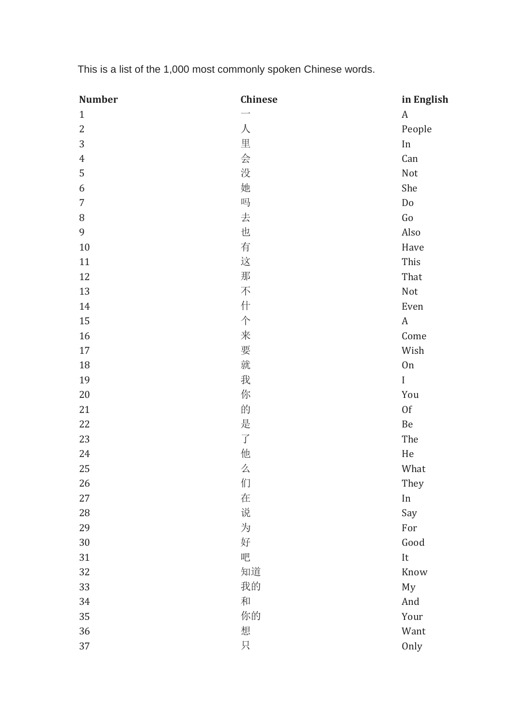| <b>Number</b>    | <b>Chinese</b>       | in English          |
|------------------|----------------------|---------------------|
| $\mathbf{1}$     |                      | $\boldsymbol{A}$    |
| $\overline{2}$   | $\sqrt{}$            | People              |
| $\mathfrak{Z}$   | 里                    | In                  |
| $\boldsymbol{4}$ | 会                    | Can                 |
| 5                | 没                    | Not                 |
| 6                | 她                    | She                 |
| $\overline{7}$   | 吗                    | Do                  |
| $\, 8$           | 去                    | Go                  |
| $\overline{9}$   | 也                    | Also                |
| 10               | 有                    | Have                |
| 11               | 这                    | This                |
| 12               | 那                    | That                |
| 13               | 不                    | Not                 |
| 14               | 什                    | Even                |
| $15\,$           | 个                    | $\mathbf{A}$        |
| 16               | 来                    | Come                |
| $17\,$           | 要                    | Wish                |
| 18               | 就                    | <b>On</b>           |
| 19               | 我                    | $\bf I$             |
| 20               | 你                    | You                 |
| 21               | 的                    | 0f                  |
| 22               | 是                    | $\mbox{Be}$         |
| 23               | $\overrightarrow{J}$ | The                 |
| 24               | 他                    | $\rm He$            |
| 25               | 么                    | What                |
| 26               | 们                    | They                |
| $27\,$           | 在                    | $\operatorname{In}$ |
| 28               | 说                    | Say                 |
| 29               | 为                    | For                 |
| $30\,$           | 好                    | Good                |
| 31               | 吧                    | It                  |
| 32               | 知道                   | Know                |
| 33               | 我的                   | My                  |
| 34               | 和                    | And                 |
| 35               | 你的                   | Your                |
| 36               | 想                    | Want                |
| 37               | 只                    | Only                |

This is a list of the 1,000 most commonly spoken Chinese words.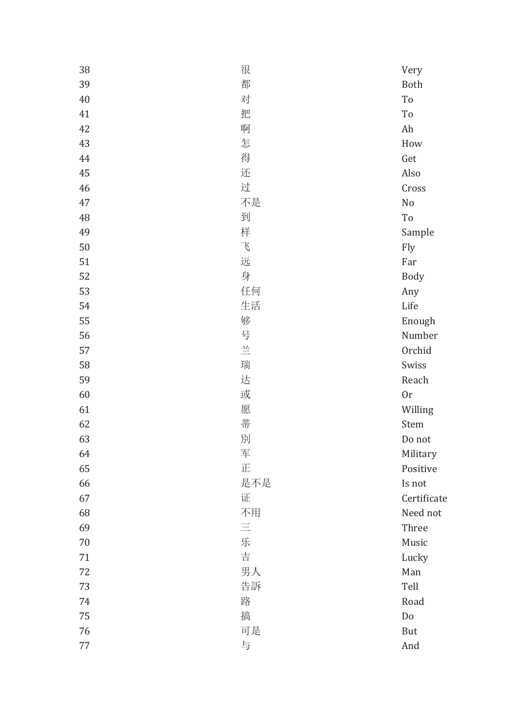| 38 | 很             | Very                         |
|----|---------------|------------------------------|
| 39 | 都             | Both                         |
| 40 | 对             | To                           |
| 41 | 把             | To                           |
| 42 | 啊             | Ah                           |
| 43 | 怎             | How                          |
| 44 | 得             | Get                          |
| 45 | 还             | Also                         |
| 46 | 过             | Cross                        |
| 47 | 不是            | No                           |
| 48 | 到             | $\operatorname{\mathsf{To}}$ |
| 49 | 样             | Sample                       |
| 50 | $\mathcal{L}$ | Fly                          |
| 51 | 远             | Far                          |
| 52 | 身             | Body                         |
| 53 | 任何            | Any                          |
| 54 | 生活            | Life                         |
| 55 | 够             | Enough                       |
| 56 | 号             | Number                       |
| 57 | $\equiv$      | Orchid                       |
| 58 | 瑞             | Swiss                        |
| 59 | 达             | Reach                        |
| 60 | 或             | 0r                           |
| 61 | 愿             | Willing                      |
| 62 | 蒂             | Stem                         |
| 63 | 別             | Do not                       |
| 64 | 军             | Military                     |
| 65 | 正             | Positive                     |
| 66 | 是不是           | Is not                       |
| 67 | 证             | Certificate                  |
| 68 | 不用            | Need not                     |
| 69 | $\equiv$      | Three                        |
| 70 | 乐             | Music                        |
| 71 | 吉             | Lucky                        |
| 72 | 男人            | Man                          |
| 73 | 告訴            | Tell                         |
| 74 | 路             | Road                         |
| 75 | 搞             | $\mathbf{D}\mathbf{o}$       |
| 76 | 可是            | But                          |
| 77 | 与             | And                          |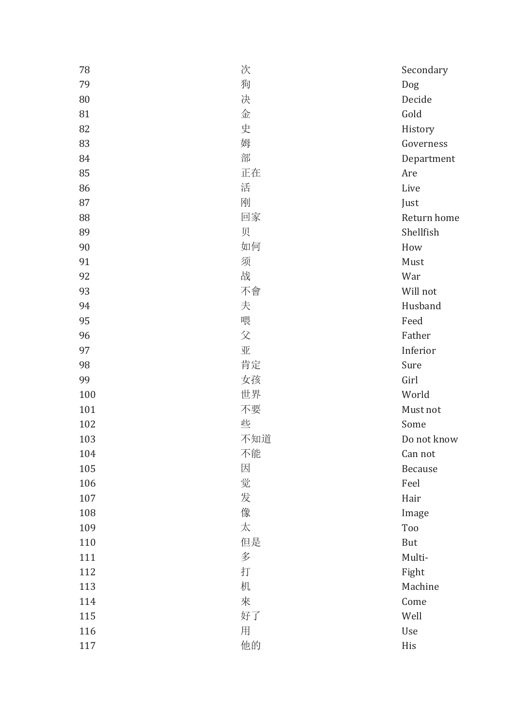| 78  | 次   | Secondary   |
|-----|-----|-------------|
| 79  | 狗   | Dog         |
| 80  | 决   | Decide      |
| 81  | 金   | Gold        |
| 82  | 史   | History     |
| 83  | 姆   | Governess   |
| 84  | 部   | Department  |
| 85  | 正在  | Are         |
| 86  | 活   | Live        |
| 87  | 刚   | Just        |
| 88  | 回家  | Return home |
| 89  | 贝   | Shellfish   |
| 90  | 如何  | How         |
| 91  | 须   | Must        |
| 92  | 战   | War         |
| 93  | 不會  | Will not    |
| 94  | 夫   | Husband     |
| 95  | 喂   | Feed        |
| 96  | 父   | Father      |
| 97  | 亚   | Inferior    |
| 98  | 肯定  | Sure        |
| 99  | 女孩  | Girl        |
| 100 | 世界  | World       |
| 101 | 不要  | Must not    |
| 102 | 些   | Some        |
| 103 | 不知道 | Do not know |
| 104 | 不能  | Can not     |
| 105 | 因   | Because     |
| 106 | 觉   | Feel        |
| 107 | 发   | Hair        |
| 108 | 像   | Image       |
| 109 | 太   | Too         |
| 110 | 但是  | But         |
| 111 | 多   | Multi-      |
| 112 | 打   | Fight       |
| 113 | 机   | Machine     |
| 114 | 來   | Come        |
| 115 | 好了  | Well        |
| 116 | 用   | Use         |
| 117 | 他的  | His         |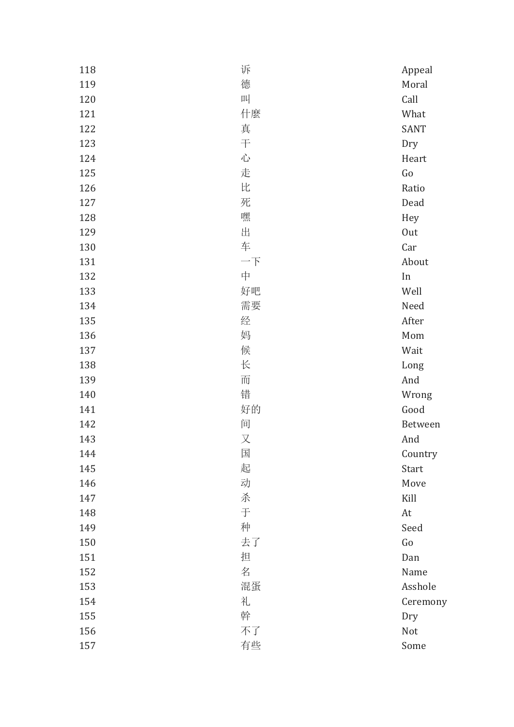| 118 | 诉  | Appeal      |
|-----|----|-------------|
| 119 | 德  | Moral       |
| 120 | 떠  | Call        |
| 121 | 什麼 | What        |
| 122 | 真  | <b>SANT</b> |
| 123 | 干  | Dry         |
| 124 | 心  | Heart       |
| 125 | 走  | Go          |
| 126 | 比  | Ratio       |
| 127 | 死  | Dead        |
| 128 | 嘿  | Hey         |
| 129 | 出  | <b>Out</b>  |
| 130 | 车  | Car         |
| 131 | 一下 | About       |
| 132 | 中  | In          |
| 133 | 好吧 | Well        |
| 134 | 需要 | Need        |
| 135 | 经  | After       |
| 136 | 妈  | Mom         |
| 137 | 候  | Wait        |
| 138 | 长  | Long        |
| 139 | 而  | And         |
| 140 | 错  | Wrong       |
| 141 | 好的 | Good        |
| 142 | 间  | Between     |
| 143 | 又  | And         |
| 144 | 国  | Country     |
| 145 | 起  | Start       |
| 146 | 动  | Move        |
| 147 | 杀  | Kill        |
| 148 | 于  | At          |
| 149 | 种  | Seed        |
| 150 | 去了 | Go          |
| 151 | 担  | Dan         |
| 152 | 名  | Name        |
| 153 | 混蛋 | Asshole     |
| 154 | 礼  | Ceremony    |
| 155 | 幹  | Dry         |
| 156 | 不了 | Not         |
| 157 | 有些 | Some        |
|     |    |             |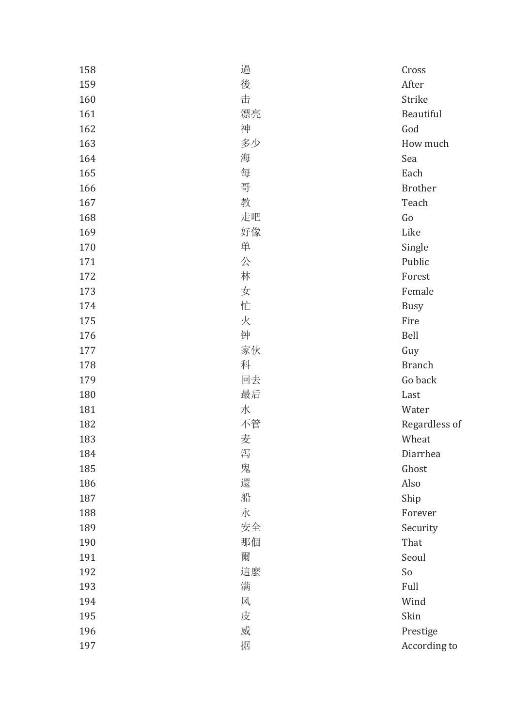| 158 | 過  | Cross          |
|-----|----|----------------|
| 159 | 後  | After          |
| 160 | 击  | Strike         |
| 161 | 漂亮 | Beautiful      |
| 162 | 神  | God            |
| 163 | 多少 | How much       |
| 164 | 海  | Sea            |
| 165 | 每  | Each           |
| 166 | 哥  | <b>Brother</b> |
| 167 | 教  | Teach          |
| 168 | 走吧 | Go             |
| 169 | 好像 | Like           |
| 170 | 单  | Single         |
| 171 | 公  | Public         |
| 172 | 林  | Forest         |
| 173 | 女  | Female         |
| 174 | 忙  | <b>Busy</b>    |
| 175 | 火  | Fire           |
| 176 | 钟  | Bell           |
| 177 | 家伙 | Guy            |
| 178 | 科  | <b>Branch</b>  |
| 179 | 回去 | Go back        |
| 180 | 最后 | Last           |
| 181 | 水  | Water          |
| 182 | 不管 | Regardless of  |
| 183 | 麦  | Wheat          |
| 184 | 泻  | Diarrhea       |
| 185 | 鬼  | Ghost          |
| 186 | 還  | Also           |
| 187 | 船  | Ship           |
| 188 | 永  | Forever        |
| 189 | 安全 | Security       |
| 190 | 那個 | That           |
| 191 | 爾  | Seoul          |
| 192 | 這麼 | So             |
| 193 | 满  | Full           |
| 194 | 风  | Wind           |
| 195 | 皮  | Skin           |
| 196 | 威  | Prestige       |
| 197 | 据  | According to   |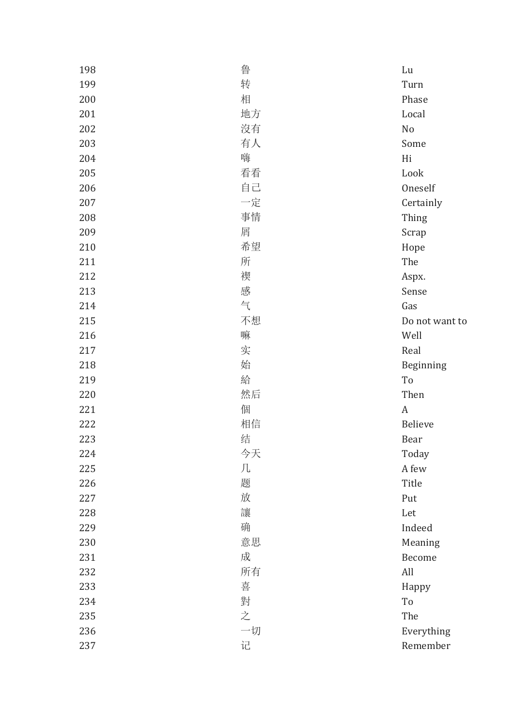| 198 | 鲁  | Lu             |
|-----|----|----------------|
| 199 | 转  | Turn           |
| 200 | 相  | Phase          |
| 201 | 地方 | Local          |
| 202 | 沒有 | No             |
| 203 | 有人 | Some           |
| 204 | 嗨  | Hi             |
| 205 | 看看 | Look           |
| 206 | 自己 | Oneself        |
| 207 | 一定 | Certainly      |
| 208 | 事情 | Thing          |
| 209 | 屑  | Scrap          |
| 210 | 希望 | Hope           |
| 211 | 所  | The            |
| 212 | 褉  | Aspx.          |
| 213 | 感  | Sense          |
| 214 | 气  | Gas            |
| 215 | 不想 | Do not want to |
| 216 | 嘛  | Well           |
| 217 | 实  | Real           |
| 218 | 始  | Beginning      |
| 219 | 給  | To             |
| 220 | 然后 | Then           |
| 221 | 個  | A              |
| 222 | 相信 | <b>Believe</b> |
| 223 | 结  | Bear           |
| 224 | 今天 | Today          |
| 225 | 几  | A few          |
| 226 | 题  | Title          |
| 227 | 放  | Put            |
| 228 | 讓  | Let            |
| 229 | 确  | Indeed         |
| 230 | 意思 | Meaning        |
| 231 | 成  | Become         |
| 232 | 所有 | All            |
| 233 | 喜  | Happy          |
| 234 | 對  | To             |
| 235 | 之  | The            |
| 236 | 一切 | Everything     |
| 237 | 记  | Remember       |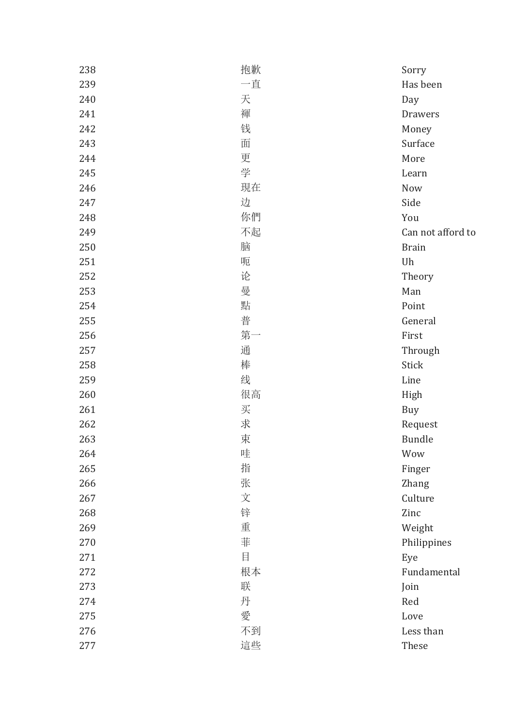| 238 | 抱歉 | Sorry             |
|-----|----|-------------------|
| 239 | 一直 | Has been          |
| 240 | 天  | Day               |
| 241 | 褌  | <b>Drawers</b>    |
| 242 | 钱  | Money             |
| 243 | 面  | Surface           |
| 244 | 更  | More              |
| 245 | 学  | Learn             |
| 246 | 現在 | Now               |
| 247 | 边  | Side              |
| 248 | 你們 | You               |
| 249 | 不起 | Can not afford to |
| 250 | 脑  | <b>Brain</b>      |
| 251 | 呃  | Uh                |
| 252 | 论  | Theory            |
| 253 | 曼  | Man               |
| 254 | 點  | Point             |
| 255 | 普  | General           |
| 256 | 第一 | First             |
| 257 | 通  | Through           |
| 258 | 棒  | <b>Stick</b>      |
| 259 | 线  | Line              |
| 260 | 很高 | High              |
| 261 | 买  | Buy               |
| 262 | 求  | Request           |
| 263 | 束  | <b>Bundle</b>     |
| 264 | 哇  | Wow               |
| 265 | 指  | Finger            |
| 266 | 张  | <b>Zhang</b>      |
| 267 | 文  | Culture           |
| 268 | 锌  | Zinc              |
| 269 | 重  | Weight            |
| 270 | 菲  | Philippines       |
| 271 | 目  | Eye               |
| 272 | 根本 | Fundamental       |
| 273 | 联  | Join              |
| 274 | 丹  | Red               |
| 275 | 愛  | Love              |
| 276 | 不到 | Less than         |
| 277 | 這些 | These             |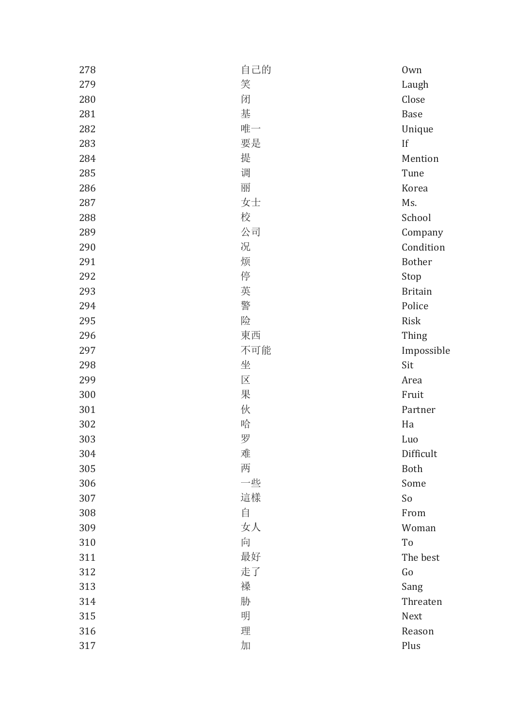| 278 | 自己的 | 0 <sub>wn</sub> |
|-----|-----|-----------------|
| 279 | 笑   | Laugh           |
| 280 | 闭   | Close           |
| 281 | 基   | Base            |
| 282 | 唯一  | Unique          |
| 283 | 要是  | If              |
| 284 | 提   | Mention         |
| 285 | 调   | Tune            |
| 286 | 丽   | Korea           |
| 287 | 女士  | Ms.             |
| 288 | 校   | School          |
| 289 | 公司  | Company         |
| 290 | 况   | Condition       |
| 291 | 烦   | <b>Bother</b>   |
| 292 | 停   | Stop            |
| 293 | 英   | <b>Britain</b>  |
| 294 | 警   | Police          |
| 295 | 险   | Risk            |
| 296 | 東西  | Thing           |
| 297 | 不可能 | Impossible      |
| 298 | 坐   | Sit             |
| 299 | 区   | Area            |
| 300 | 果   | Fruit           |
| 301 | 伙   | Partner         |
| 302 | 哈   | Ha              |
| 303 | 罗   | Luo             |
| 304 | 难   | Difficult       |
| 305 | 两   | Both            |
| 306 | 一些  | Some            |
| 307 | 這樣  | So              |
| 308 | 自   | From            |
| 309 | 女人  | Woman           |
| 310 | 向   | To              |
| 311 | 最好  | The best        |
| 312 | 走了  | Go              |
| 313 | 褬   | Sang            |
| 314 | 胁   | Threaten        |
| 315 | 明   | Next            |
| 316 | 理   | Reason          |
| 317 | 加   | Plus            |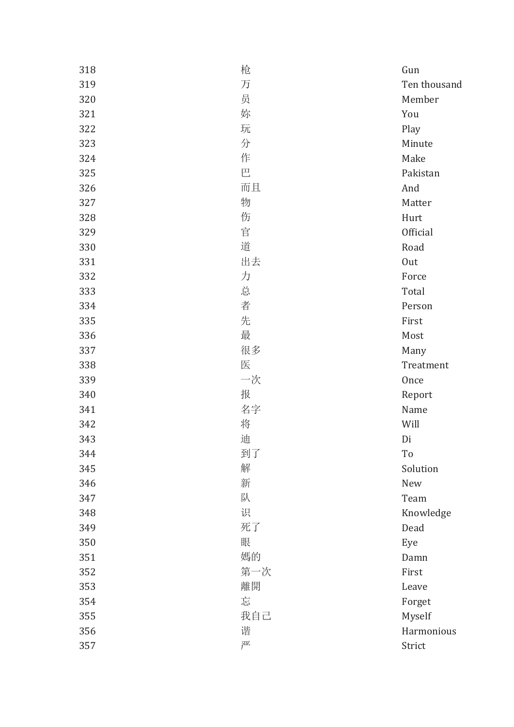| 318 | 枪   | Gun             |
|-----|-----|-----------------|
| 319 | 万   | Ten thousand    |
| 320 | 员   | Member          |
| 321 | 妳   | You             |
| 322 | 玩   | Play            |
| 323 | 分   | Minute          |
| 324 | 作   | Make            |
| 325 | 巴   | Pakistan        |
| 326 | 而且  | And             |
| 327 | 物   | Matter          |
| 328 | 伤   | Hurt            |
| 329 | 官   | <b>Official</b> |
| 330 | 道   | Road            |
| 331 | 出去  | Out             |
| 332 | 力   | Force           |
| 333 | 总   | Total           |
| 334 | 者   | Person          |
| 335 | 先   | First           |
| 336 | 最   | Most            |
| 337 | 很多  | Many            |
| 338 | 医   | Treatment       |
| 339 | 一次  | Once            |
| 340 | 报   | Report          |
| 341 | 名字  | Name            |
| 342 | 将   | Will            |
| 343 | 迪   | Di              |
| 344 | 到了  | To              |
| 345 | 解   | Solution        |
| 346 | 新   | New             |
| 347 | 队   | Team            |
| 348 | 识   | Knowledge       |
| 349 | 死了  | Dead            |
| 350 | 眼   | Eye             |
| 351 | 媽的  | Damn            |
| 352 | 第一次 | First           |
| 353 | 離開  | Leave           |
| 354 | 忘   | Forget          |
| 355 | 我自己 | Myself          |
| 356 | 谐   | Harmonious      |
| 357 | 严   | Strict          |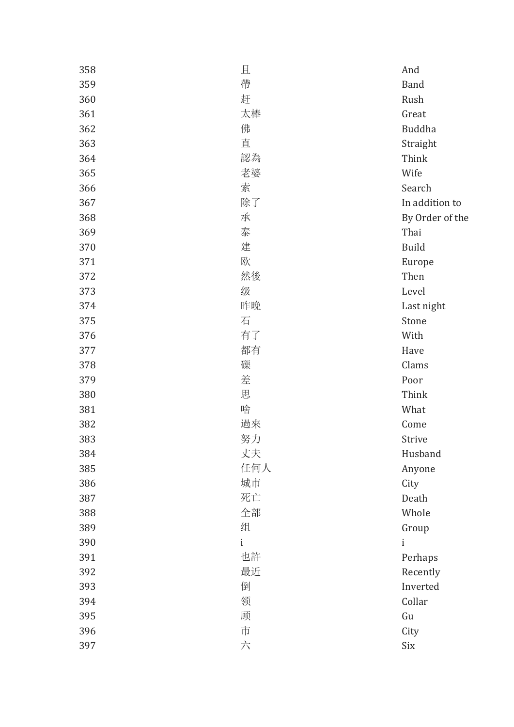| 358 | 且   | And             |
|-----|-----|-----------------|
| 359 | 帶   | <b>Band</b>     |
| 360 | 赶   | Rush            |
| 361 | 太棒  | Great           |
| 362 | 佛   | Buddha          |
| 363 | 直   | Straight        |
| 364 | 認為  | Think           |
| 365 | 老婆  | Wife            |
| 366 | 索   | Search          |
| 367 | 除了  | In addition to  |
| 368 | 承   | By Order of the |
| 369 | 泰   | Thai            |
| 370 | 建   | <b>Build</b>    |
| 371 | 欧   | Europe          |
| 372 | 然後  | Then            |
| 373 | 级   | Level           |
| 374 | 昨晚  | Last night      |
| 375 | 石   | Stone           |
| 376 | 有了  | With            |
| 377 | 都有  | Have            |
| 378 | 磲   | Clams           |
| 379 | 差   | Poor            |
| 380 | 思   | Think           |
| 381 | 啥   | What            |
| 382 | 過來  | Come            |
| 383 | 努力  | Strive          |
| 384 | 丈夫  | Husband         |
| 385 | 任何人 | Anyone          |
| 386 | 城市  | City            |
| 387 | 死亡  | Death           |
| 388 | 全部  | Whole           |
| 389 | 组   | Group           |
| 390 | i   | i               |
| 391 | 也許  | Perhaps         |
| 392 | 最近  | Recently        |
| 393 | 倒   | Inverted        |
| 394 | 领   | Collar          |
| 395 | 顾   | Gu              |
| 396 | 市   | City            |
| 397 | 六   | Six             |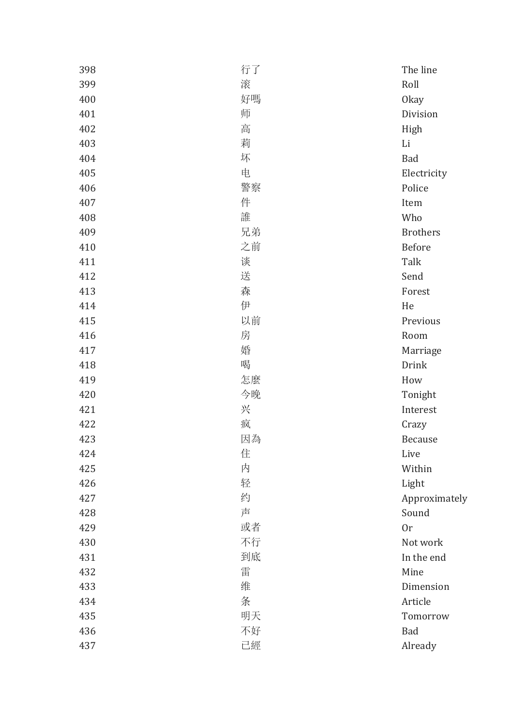| 398 | 行了 | The line        |
|-----|----|-----------------|
| 399 | 滚  | Roll            |
| 400 | 好嗎 | <b>Okay</b>     |
| 401 | 师  | Division        |
| 402 | 高  | High            |
| 403 | 莉  | Li              |
| 404 | 坏  | Bad             |
| 405 | 电  | Electricity     |
| 406 | 警察 | Police          |
| 407 | 件  | Item            |
| 408 | 誰  | Who             |
| 409 | 兄弟 | <b>Brothers</b> |
| 410 | 之前 | Before          |
| 411 | 谈  | Talk            |
| 412 | 送  | Send            |
| 413 | 森  | Forest          |
| 414 | 伊  | He              |
| 415 | 以前 | Previous        |
| 416 | 房  | Room            |
| 417 | 婚  | Marriage        |
| 418 | 喝  | Drink           |
| 419 | 怎麼 | How             |
| 420 | 今晚 | Tonight         |
| 421 | 兴  | Interest        |
| 422 | 疯  | Crazy           |
| 423 | 因為 | <b>Because</b>  |
| 424 | 住  | Live            |
| 425 | 内  | Within          |
| 426 | 轻  | Light           |
| 427 | 约  | Approximately   |
| 428 | 声  | Sound           |
| 429 | 或者 | 0r              |
| 430 | 不行 | Not work        |
| 431 | 到底 | In the end      |
| 432 | 雷  | Mine            |
| 433 | 维  | Dimension       |
| 434 | 条  | Article         |
| 435 | 明天 | Tomorrow        |
| 436 | 不好 | Bad             |
| 437 | 已經 | Already         |
|     |    |                 |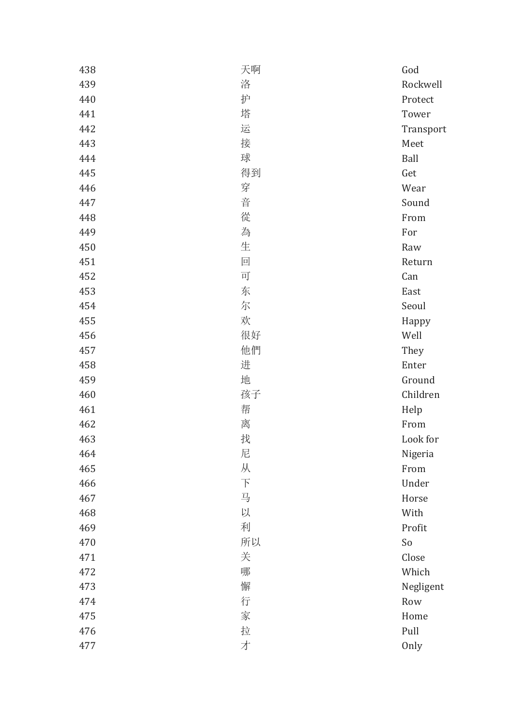| 438 | 天啊                       | God       |
|-----|--------------------------|-----------|
| 439 | 洛                        | Rockwell  |
| 440 | 护                        | Protect   |
| 441 | 塔                        | Tower     |
| 442 | 运                        | Transport |
| 443 | 接                        | Meet      |
| 444 | 球                        | Ball      |
| 445 | 得到                       | Get       |
| 446 | 穿                        | Wear      |
| 447 | 音                        | Sound     |
| 448 | 從                        | From      |
| 449 | 為                        | For       |
| 450 | 生                        | Raw       |
| 451 | 回                        | Return    |
| 452 | 可                        | Can       |
| 453 | 东                        | East      |
| 454 | 尔                        | Seoul     |
| 455 | 欢                        | Happy     |
| 456 | 很好                       | Well      |
| 457 | 他們                       | They      |
| 458 | 进                        | Enter     |
| 459 | 地                        | Ground    |
| 460 | 孩子                       | Children  |
| 461 | 帮                        | Help      |
| 462 | 离                        | From      |
| 463 | 找                        | Look for  |
| 464 | 尼                        | Nigeria   |
| 465 | 从                        | From      |
| 466 | $\overline{\mathcal{F}}$ | Under     |
| 467 | 马                        | Horse     |
| 468 | 以                        | With      |
| 469 | 利                        | Profit    |
| 470 | 所以                       | So        |
| 471 | 关                        | Close     |
| 472 | 哪                        | Which     |
| 473 | 懈                        | Negligent |
| 474 | 行                        | Row       |
| 475 | 家                        | Home      |
| 476 | 拉                        | Pull      |
| 477 | 才                        | Only      |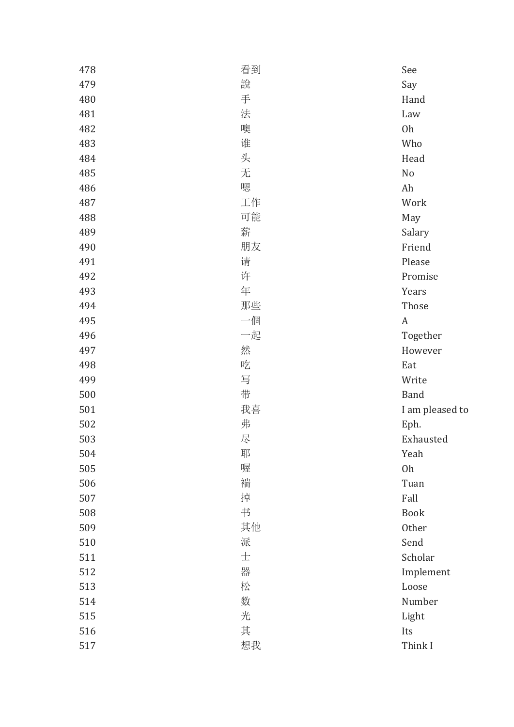| 478 | 看到 | See              |
|-----|----|------------------|
| 479 | 說  | Say              |
| 480 | 手  | Hand             |
| 481 | 法  | Law              |
| 482 | 噢  | 0h               |
| 483 | 谁  | Who              |
| 484 | 头  | Head             |
| 485 | 无  | No               |
| 486 | 嗯  | Ah               |
| 487 | 工作 | Work             |
| 488 | 可能 | May              |
| 489 | 薪  | Salary           |
| 490 | 朋友 | Friend           |
| 491 | 请  | Please           |
| 492 | 许  | Promise          |
| 493 | 年  | Years            |
| 494 | 那些 | Those            |
| 495 | 一個 | $\boldsymbol{A}$ |
| 496 | 一起 | Together         |
| 497 | 然  | However          |
| 498 | 吃  | Eat              |
| 499 | 写  | Write            |
| 500 | 带  | <b>Band</b>      |
| 501 | 我喜 | I am pleased to  |
| 502 | 弗  | Eph.             |
| 503 | 尽  | Exhausted        |
| 504 | 耶  | Yeah             |
| 505 | 喔  | Oh               |
| 506 | 褍  | Tuan             |
| 507 | 掉  | Fall             |
| 508 | 书  | <b>Book</b>      |
| 509 | 其他 | Other            |
| 510 | 派  | Send             |
| 511 | 士  | Scholar          |
| 512 | 器  | Implement        |
| 513 | 松  | Loose            |
| 514 | 数  | Number           |
| 515 | 光  | Light            |
| 516 | 其  | Its              |
| 517 | 想我 | Think I          |
|     |    |                  |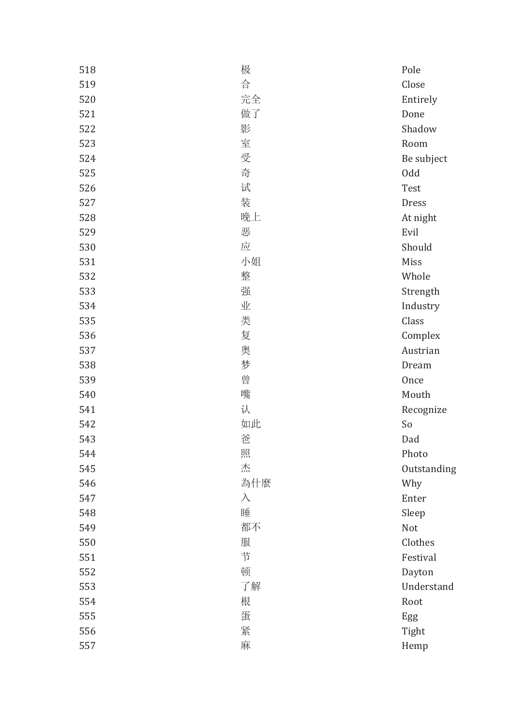| 518 | 极         | Pole        |
|-----|-----------|-------------|
| 519 | 合         | Close       |
| 520 | 完全        | Entirely    |
| 521 | 做了        | Done        |
| 522 | 影         | Shadow      |
| 523 | 室         | Room        |
| 524 | 受         | Be subject  |
| 525 | 奇         | <b>Odd</b>  |
| 526 | 试         | Test        |
| 527 | 装         | Dress       |
| 528 | 晚上        | At night    |
| 529 | 恶         | Evil        |
| 530 | 应         | Should      |
| 531 | 小姐        | Miss        |
| 532 | 整         | Whole       |
| 533 | 强         | Strength    |
| 534 | 业         | Industry    |
| 535 | 类         | Class       |
| 536 | 复         | Complex     |
| 537 | 奥         | Austrian    |
| 538 | 梦         | Dream       |
| 539 | 曾         | Once        |
| 540 | 嘴         | Mouth       |
| 541 | 认         | Recognize   |
| 542 | 如此        | So          |
| 543 | 爸         | Dad         |
| 544 | 照         | Photo       |
| 545 | 杰         | Outstanding |
| 546 | 為什麼       | Why         |
| 547 | $\lambda$ | Enter       |
| 548 | 睡         | Sleep       |
| 549 | 都不        | Not         |
| 550 | 服         | Clothes     |
| 551 | 节         | Festival    |
| 552 | 顿         | Dayton      |
| 553 | 了解        | Understand  |
| 554 | 根         | Root        |
| 555 | 蛋         | Egg         |
| 556 | 紧         | Tight       |
| 557 | 麻         | Hemp        |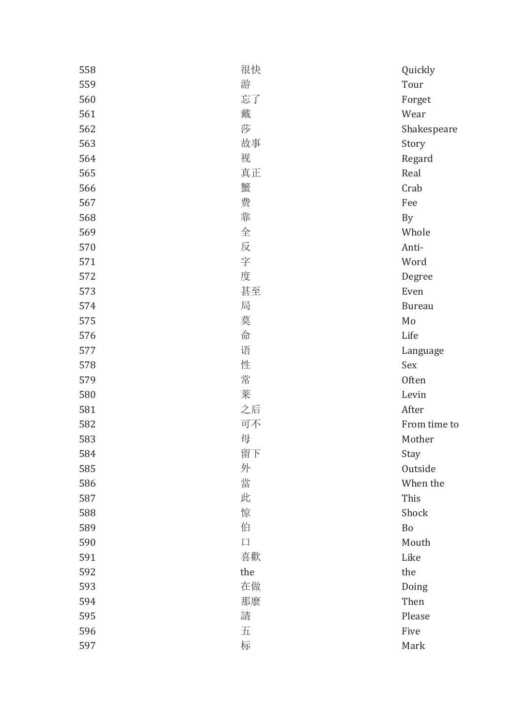| 558 | 很快     | Quickly       |
|-----|--------|---------------|
| 559 | 游      | Tour          |
| 560 | 忘了     | Forget        |
| 561 | 戴      | Wear          |
| 562 | 莎      | Shakespeare   |
| 563 | 故事     | Story         |
| 564 | 视      | Regard        |
| 565 | 真正     | Real          |
| 566 | 蟹      | Crab          |
| 567 | 费      | Fee           |
| 568 | 靠      | By            |
| 569 | 全      | Whole         |
| 570 | 反      | Anti-         |
| 571 | 字      | Word          |
| 572 | 度      | Degree        |
| 573 | 甚至     | Even          |
| 574 | 局      | <b>Bureau</b> |
| 575 | 莫      | Mo            |
| 576 | 命      | Life          |
| 577 | 语      | Language      |
| 578 | 性      | Sex           |
| 579 | 常      | Often         |
| 580 | 莱      | Levin         |
| 581 | 之后     | After         |
| 582 | 可不     | From time to  |
| 583 | 母      | Mother        |
| 584 | 留下     | Stay          |
| 585 | 外      | Outside       |
| 586 | 當      | When the      |
| 587 | 此      | This          |
| 588 | 惊      | Shock         |
| 589 | 伯      | Bo            |
| 590 | $\Box$ | Mouth         |
| 591 | 喜歡     | Like          |
| 592 | the    | the           |
| 593 | 在做     | Doing         |
| 594 | 那麼     | Then          |
| 595 | 請      | Please        |
| 596 | 五      | Five          |
| 597 | 标      | Mark          |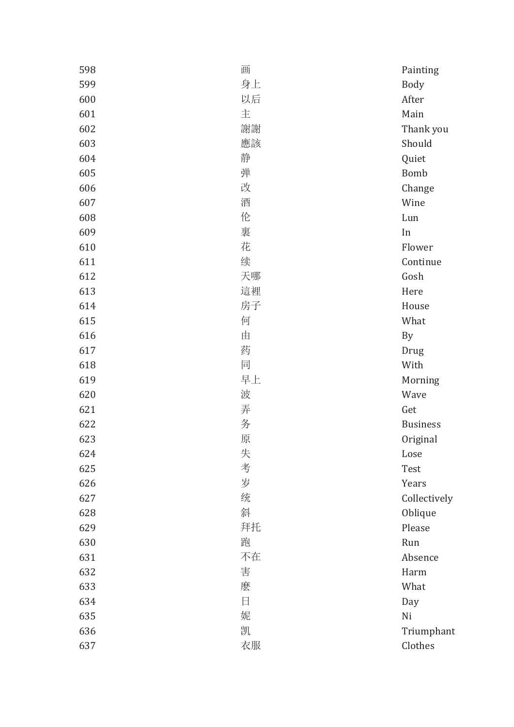| 598 | 画  | Painting        |
|-----|----|-----------------|
| 599 | 身上 | <b>Body</b>     |
| 600 | 以后 | After           |
| 601 | 主  | Main            |
| 602 | 謝謝 | Thank you       |
| 603 | 應該 | Should          |
| 604 | 静  | Quiet           |
| 605 | 弹  | <b>Bomb</b>     |
| 606 | 改  | Change          |
| 607 | 酒  | Wine            |
| 608 | 伦  | Lun             |
| 609 | 裏  | In              |
| 610 | 花  | Flower          |
| 611 | 续  | Continue        |
| 612 | 天哪 | Gosh            |
| 613 | 這裡 | Here            |
| 614 | 房子 | House           |
| 615 | 何  | What            |
| 616 | 由  | By              |
| 617 | 药  | Drug            |
| 618 | 同  | With            |
| 619 | 早上 | Morning         |
| 620 | 波  | Wave            |
| 621 | 弄  | Get             |
| 622 | 务  | <b>Business</b> |
| 623 | 原  | Original        |
| 624 | 失  | Lose            |
| 625 | 考  | Test            |
| 626 | 岁  | Years           |
| 627 | 统  | Collectively    |
| 628 | 斜  | Oblique         |
| 629 | 拜托 | Please          |
| 630 | 跑  | Run             |
| 631 | 不在 | Absence         |
| 632 | 害  | Harm            |
| 633 | 麽  | What            |
| 634 | 日  | Day             |
| 635 | 妮  | Ni              |
| 636 | 凯  | Triumphant      |
| 637 | 衣服 | Clothes         |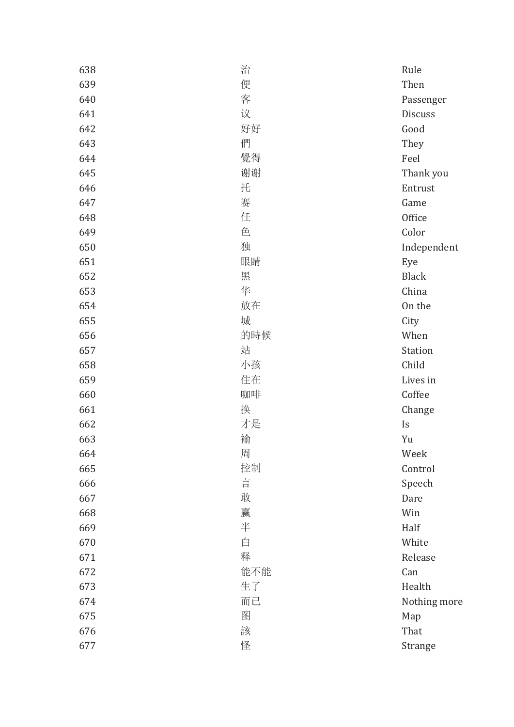| 638 | 治   | Rule           |
|-----|-----|----------------|
| 639 | 便   | Then           |
| 640 | 客   | Passenger      |
| 641 | 议   | <b>Discuss</b> |
| 642 | 好好  | Good           |
| 643 | 們   | They           |
| 644 | 覺得  | Feel           |
| 645 | 谢谢  | Thank you      |
| 646 | 托   | Entrust        |
| 647 | 赛   | Game           |
| 648 | 任   | Office         |
| 649 | 色   | Color          |
| 650 | 独   | Independent    |
| 651 | 眼睛  | Eye            |
| 652 | 黑   | <b>Black</b>   |
| 653 | 华   | China          |
| 654 | 放在  | On the         |
| 655 | 城   | City           |
| 656 | 的時候 | When           |
| 657 | 站   | Station        |
| 658 | 小孩  | Child          |
| 659 | 住在  | Lives in       |
| 660 | 咖啡  | Coffee         |
| 661 | 换   | Change         |
| 662 | 才是  | Is             |
| 663 | 褕   | Yu             |
| 664 | 周   | Week           |
| 665 | 控制  | Control        |
| 666 | 言   | Speech         |
| 667 | 敢   | Dare           |
| 668 | 赢   | Win            |
| 669 | 半   | Half           |
| 670 | 白   | White          |
| 671 | 释   | Release        |
| 672 | 能不能 | Can            |
| 673 | 生了  | Health         |
| 674 | 而已  | Nothing more   |
| 675 | 图   | Map            |
| 676 | 該   | That           |
| 677 | 怪   | Strange        |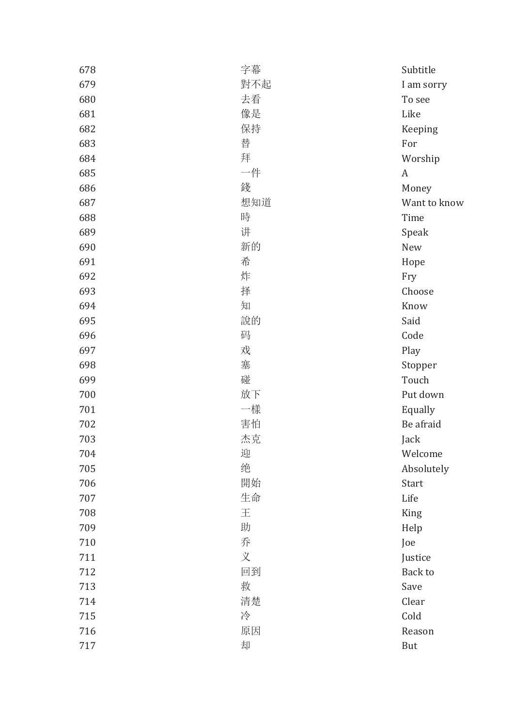| 678 | 字幕  | Subtitle     |
|-----|-----|--------------|
| 679 | 對不起 | I am sorry   |
| 680 | 去看  | To see       |
| 681 | 像是  | Like         |
| 682 | 保持  | Keeping      |
| 683 | 替   | For          |
| 684 | 拜   | Worship      |
| 685 | 一件  | A            |
| 686 | 錢   | Money        |
| 687 | 想知道 | Want to know |
| 688 | 時   | Time         |
| 689 | 讲   | Speak        |
| 690 | 新的  | New          |
| 691 | 希   | Hope         |
| 692 | 炸   | Fry          |
| 693 | 择   | Choose       |
| 694 | 知   | Know         |
| 695 | 說的  | Said         |
| 696 | 码   | Code         |
| 697 | 戏   | Play         |
| 698 | 塞   | Stopper      |
| 699 | 碰   | Touch        |
| 700 | 放下  | Put down     |
| 701 | 一樣  | Equally      |
| 702 | 害怕  | Be afraid    |
| 703 | 杰克  | Jack         |
| 704 | 迎   | Welcome      |
| 705 | 绝   | Absolutely   |
| 706 | 開始  | Start        |
| 707 | 生命  | Life         |
| 708 | 王   | King         |
| 709 | 助   | Help         |
| 710 | 乔   | Joe          |
| 711 | 义   | Justice      |
| 712 | 回到  | Back to      |
| 713 | 救   | Save         |
| 714 | 清楚  | Clear        |
| 715 | 冷   | Cold         |
| 716 | 原因  | Reason       |
| 717 | 却   | But          |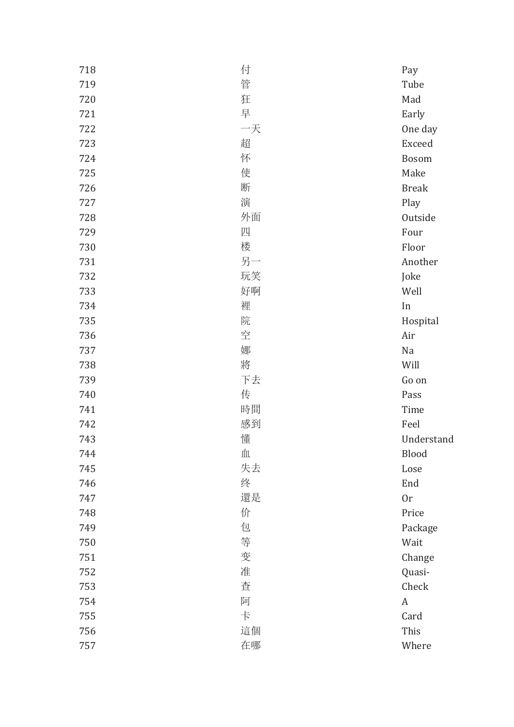| 718 | 付  | Pay          |
|-----|----|--------------|
| 719 | 管  | Tube         |
| 720 | 狂  | Mad          |
| 721 | 早  | Early        |
| 722 | 一天 | One day      |
| 723 | 超  | Exceed       |
| 724 | 怀  | Bosom        |
| 725 | 使  | Make         |
| 726 | 断  | <b>Break</b> |
| 727 | 演  | Play         |
| 728 | 外面 | Outside      |
| 729 | 四  | Four         |
| 730 | 楼  | Floor        |
| 731 | 另一 | Another      |
| 732 | 玩笑 | Joke         |
| 733 | 好啊 | Well         |
| 734 | 裡  | In           |
| 735 | 院  | Hospital     |
| 736 | 空  | Air          |
| 737 | 娜  | Na           |
| 738 | 將  | Will         |
| 739 | 下去 | Go on        |
| 740 | 传  | Pass         |
| 741 | 時間 | Time         |
| 742 | 感到 | Feel         |
| 743 | 懂  | Understand   |
| 744 | 血  | Blood        |
| 745 | 失去 | Lose         |
| 746 | 终  | End          |
| 747 | 還是 | 0r           |
| 748 | 价  | Price        |
| 749 | 包  | Package      |
| 750 | 等  | Wait         |
| 751 | 变  | Change       |
| 752 | 准  | Quasi-       |
| 753 | 查  | Check        |
| 754 | 阿  | A            |
| 755 | 卡  | Card         |
| 756 | 這個 | This         |
| 757 | 在哪 | Where        |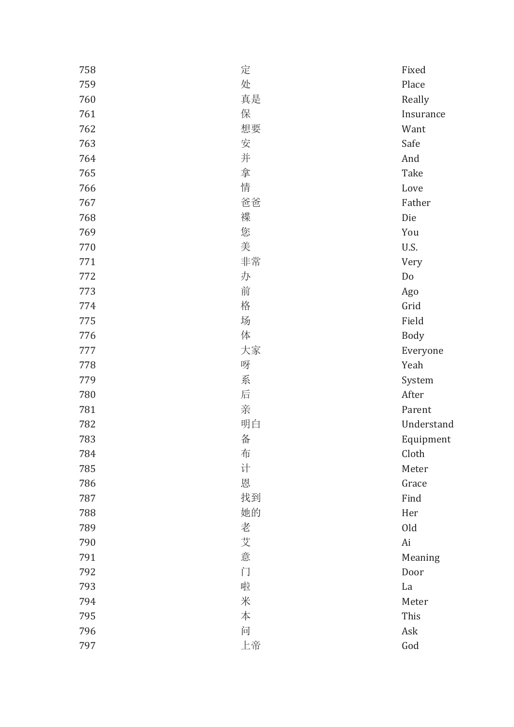| 758 | 定  | Fixed      |
|-----|----|------------|
| 759 | 处  | Place      |
| 760 | 真是 | Really     |
| 761 | 保  | Insurance  |
| 762 | 想要 | Want       |
| 763 | 安  | Safe       |
| 764 | 并  | And        |
| 765 | 拿  | Take       |
| 766 | 情  | Love       |
| 767 | 爸爸 | Father     |
| 768 | 褋  | Die        |
| 769 | 您  | You        |
| 770 | 美  | U.S.       |
| 771 | 非常 | Very       |
| 772 | 办  | Do         |
| 773 | 前  | Ago        |
| 774 | 格  | Grid       |
| 775 | 场  | Field      |
| 776 | 体  | Body       |
| 777 | 大家 | Everyone   |
| 778 | 呀  | Yeah       |
| 779 | 系  | System     |
| 780 | 后  | After      |
| 781 | 亲  | Parent     |
| 782 | 明白 | Understand |
| 783 | 备  | Equipment  |
| 784 | 布  | Cloth      |
| 785 | 计  | Meter      |
| 786 | 恩  | Grace      |
| 787 | 找到 | Find       |
| 788 | 她的 | Her        |
| 789 | 老  | Old        |
| 790 | 艾  | Ai         |
| 791 | 意  | Meaning    |
| 792 | 门  | Door       |
| 793 | 啦  | La         |
| 794 | 米  | Meter      |
| 795 | 本  | This       |
| 796 | 问  | Ask        |
| 797 | 上帝 | God        |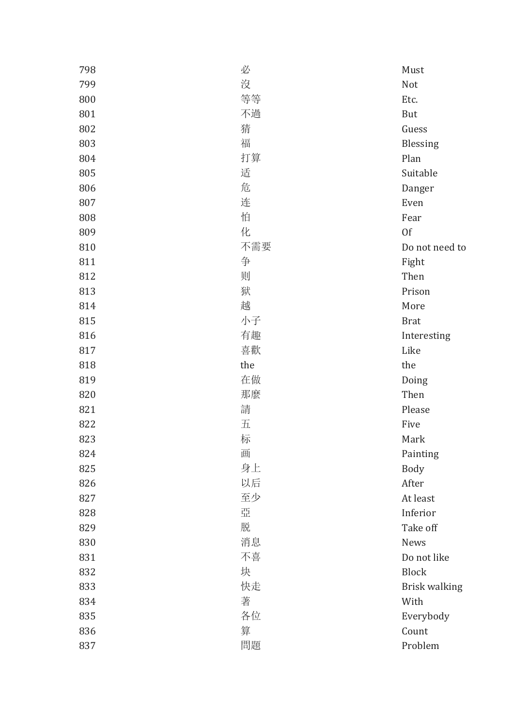| 798 | 必   | Must           |
|-----|-----|----------------|
| 799 | 沒   | Not            |
| 800 | 等等  | Etc.           |
| 801 | 不過  | But            |
| 802 | 猜   | Guess          |
| 803 | 福   | Blessing       |
| 804 | 打算  | Plan           |
| 805 | 适   | Suitable       |
| 806 | 危   | Danger         |
| 807 | 连   | Even           |
| 808 | 怕   | Fear           |
| 809 | 化   | 0f             |
| 810 | 不需要 | Do not need to |
| 811 | 争   | Fight          |
| 812 | 则   | Then           |
| 813 | 狱   | Prison         |
| 814 | 越   | More           |
| 815 | 小子  | <b>Brat</b>    |
| 816 | 有趣  | Interesting    |
| 817 | 喜歡  | Like           |
|     |     |                |
| 818 | the | the            |
| 819 | 在做  | Doing          |
| 820 | 那麼  | Then           |
| 821 | 請   | Please         |
| 822 | 五   | Five           |
| 823 | 标   | Mark           |
| 824 | 画   | Painting       |
| 825 | 身上  | <b>Body</b>    |
| 826 | 以后  | After          |
| 827 | 至少  | At least       |
| 828 | 亞   | Inferior       |
| 829 | 脱   | Take off       |
| 830 | 消息  | <b>News</b>    |
| 831 | 不喜  | Do not like    |
| 832 | 块   | <b>Block</b>   |
| 833 | 快走  | Brisk walking  |
| 834 | 著   | With           |
| 835 | 各位  | Everybody      |
| 836 | 算   | Count          |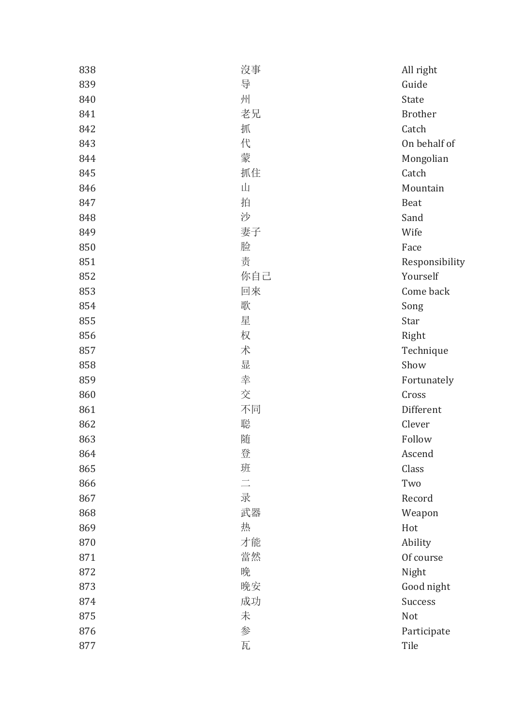| 838 | 沒事       | All right      |
|-----|----------|----------------|
| 839 | 导        | Guide          |
| 840 | 州        | State          |
| 841 | 老兄       | <b>Brother</b> |
| 842 | 抓        | Catch          |
| 843 | 代        | On behalf of   |
| 844 | 蒙        | Mongolian      |
| 845 | 抓住       | Catch          |
| 846 | Щ        | Mountain       |
| 847 | 拍        | <b>Beat</b>    |
| 848 | 沙        | Sand           |
| 849 | 妻子       | Wife           |
| 850 | 脸        | Face           |
| 851 | 责        | Responsibility |
| 852 | 你自己      | Yourself       |
| 853 | 回來       | Come back      |
| 854 | 歌        | Song           |
| 855 | 星        | Star           |
| 856 | 权        | Right          |
| 857 | 术        | Technique      |
| 858 | 晋        | Show           |
| 859 | 幸        | Fortunately    |
| 860 | 交        | Cross          |
| 861 | 不同       | Different      |
| 862 | 聪        | Clever         |
| 863 | 随        | Follow         |
| 864 | 登        | Ascend         |
| 865 | 班        | Class          |
| 866 | $\equiv$ | Two            |
| 867 | 录        | Record         |
| 868 | 武器       | Weapon         |
| 869 | 热        | Hot            |
| 870 | 才能       | Ability        |
| 871 | 當然       | Of course      |
| 872 | 晚        | Night          |
| 873 | 晚安       | Good night     |
| 874 | 成功       | Success        |
| 875 | 未        | Not            |
| 876 | 参        | Participate    |
| 877 | 瓦        | Tile           |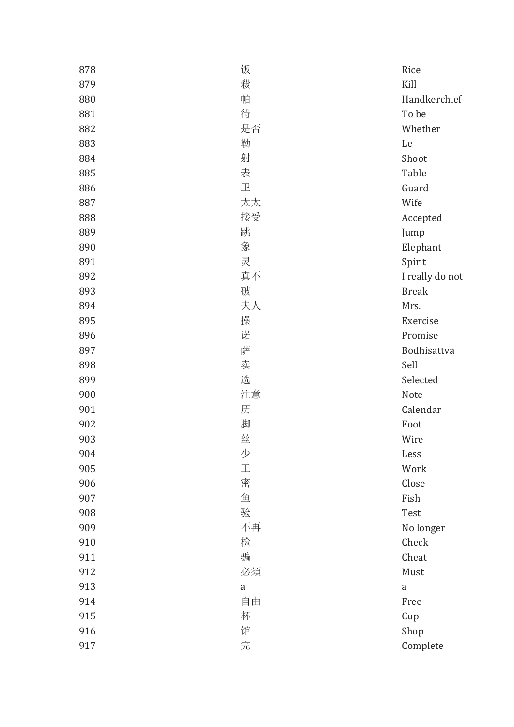| 878 | 饭             | Rice            |
|-----|---------------|-----------------|
| 879 | 殺             | Kill            |
| 880 | 帕             | Handkerchief    |
| 881 | 待             | To be           |
| 882 | 是否            | Whether         |
| 883 | 勒             | Le              |
| 884 | 射             | Shoot           |
| 885 | 表             | Table           |
| 886 | $\mathbbm{E}$ | Guard           |
| 887 | 太太            | Wife            |
| 888 | 接受            | Accepted        |
| 889 | 跳             | Jump            |
| 890 | 象             | Elephant        |
| 891 | 灵             | Spirit          |
| 892 | 真不            | I really do not |
| 893 | 破             | <b>Break</b>    |
| 894 | 夫人            | Mrs.            |
| 895 | 操             | Exercise        |
| 896 | 诺             | Promise         |
| 897 | 萨             | Bodhisattva     |
| 898 | 卖             | Sell            |
| 899 | 选             | Selected        |
| 900 | 注意            | Note            |
| 901 | 历             | Calendar        |
| 902 | 脚             | Foot            |
| 903 | 丝             | Wire            |
| 904 | 少             | Less            |
| 905 | $\bot$        | Work            |
| 906 | 密             | Close           |
| 907 | 鱼             | Fish            |
| 908 | 验             | Test            |
| 909 | 不再            | No longer       |
| 910 | 检             | Check           |
| 911 | 骗             | Cheat           |
| 912 | 必須            | Must            |
| 913 | a             | $\rm{a}$        |
| 914 | 自由            | Free            |
| 915 | 杯             | Cup             |
| 916 | 馆             | Shop            |
| 917 | 完             | Complete        |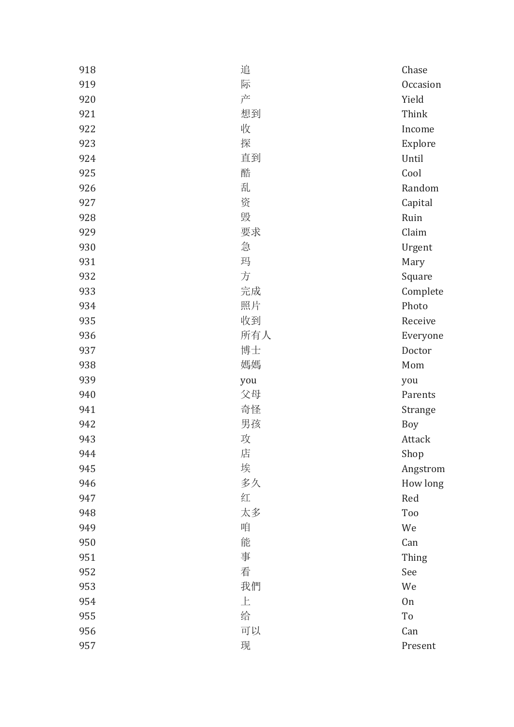| 918 | 追   | Chase    |
|-----|-----|----------|
| 919 | 际   | Occasion |
| 920 | 产   | Yield    |
| 921 | 想到  | Think    |
| 922 | 收   | Income   |
| 923 | 探   | Explore  |
| 924 | 直到  | Until    |
| 925 | 酷   | Cool     |
| 926 | 乱   | Random   |
| 927 | 资   | Capital  |
| 928 | 毁   | Ruin     |
| 929 | 要求  | Claim    |
| 930 | 急   | Urgent   |
| 931 | 玛   | Mary     |
| 932 | 方   | Square   |
| 933 | 完成  | Complete |
| 934 | 照片  | Photo    |
| 935 | 收到  | Receive  |
| 936 | 所有人 | Everyone |
| 937 | 博士  | Doctor   |
| 938 | 媽媽  | Mom      |
| 939 | you | you      |
| 940 | 父母  | Parents  |
| 941 | 奇怪  | Strange  |
| 942 | 男孩  | Boy      |
| 943 | 攻   | Attack   |
| 944 | 店   | Shop     |
| 945 | 埃   | Angstrom |
| 946 | 多久  | How long |
| 947 | 红   | Red      |
| 948 | 太多  | Too      |
| 949 | 咱   | We       |
| 950 | 能   | Can      |
| 951 | 事   | Thing    |
| 952 | 看   | See      |
| 953 | 我們  | We       |
| 954 | 上   | On       |
| 955 | 给   | To       |
| 956 | 可以  | Can      |
| 957 | 现   | Present  |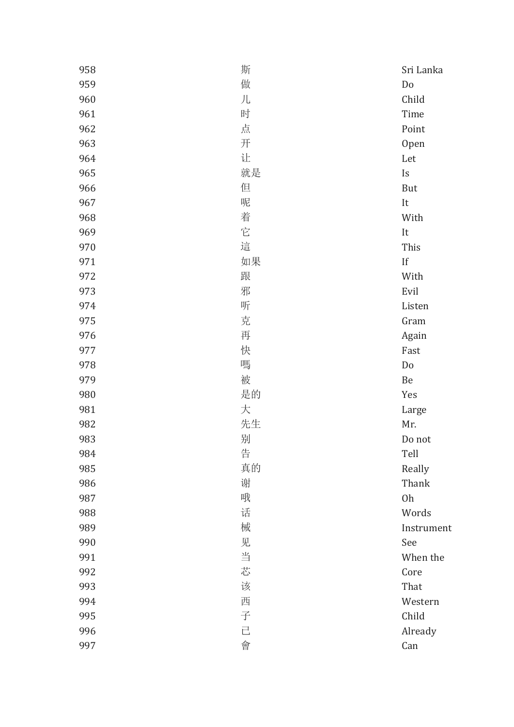| 958 | 斯  | Sri Lanka   |
|-----|----|-------------|
| 959 | 做  | Do          |
| 960 | 儿  | Child       |
| 961 | 时  | Time        |
| 962 | 点  | Point       |
| 963 | 开  | Open        |
| 964 | 让  | Let         |
| 965 | 就是 | Is          |
| 966 | 但  | But         |
| 967 | 呢  | It          |
| 968 | 着  | With        |
| 969 | 它  | It          |
| 970 | 這  | This        |
| 971 | 如果 | $_{\rm If}$ |
| 972 | 跟  | With        |
| 973 | 邪  | Evil        |
| 974 | 听  | Listen      |
| 975 | 克  | Gram        |
| 976 | 再  | Again       |
| 977 | 快  | Fast        |
| 978 | 嗎  | Do          |
| 979 | 被  | Be          |
| 980 | 是的 | Yes         |
| 981 | 大  | Large       |
| 982 | 先生 | Mr.         |
| 983 | 别  | Do not      |
| 984 | 告  | Tell        |
| 985 | 真的 | Really      |
| 986 | 谢  | Thank       |
| 987 | 哦  | Oh          |
| 988 | 话  | Words       |
| 989 | 械  | Instrument  |
| 990 | 见  | See         |
| 991 | 当  | When the    |
| 992 | 芯  | Core        |
| 993 | 该  | That        |
| 994 | 西  | Western     |
| 995 | 子  | Child       |
| 996 | 已  | Already     |
| 997 | 會  | Can         |